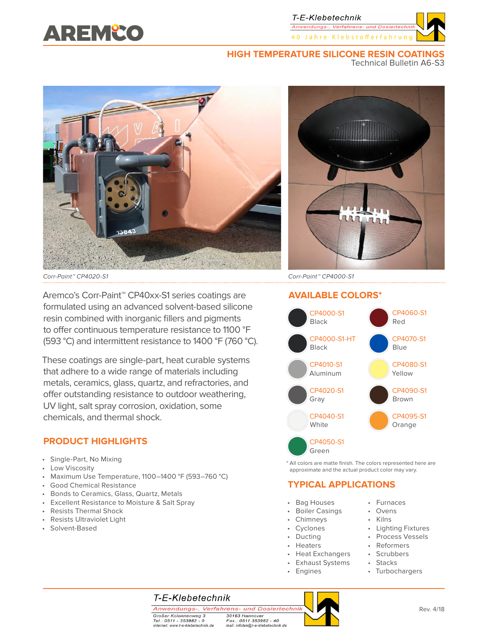

## **HIGH TEMPERATURE SILICONE RESIN COATINGS**

Technical Bulletin A6-S3



Corr-Paint™ CP4020-S1 Corr-Paint™ CP4000-S1

Aremco's Corr-Paint™ CP40xx-S1 series coatings are formulated using an advanced solvent-based silicone resin combined with inorganic fillers and pigments to offer continuous temperature resistance to 1100 °F (593 °C) and intermittent resistance to 1400 °F (760 °C).

These coatings are single-part, heat curable systems that adhere to a wide range of materials including metals, ceramics, glass, quartz, and refractories, and offer outstanding resistance to outdoor weathering, UV light, salt spray corrosion, oxidation, some chemicals, and thermal shock.

# **PRODUCT HIGHLIGHTS**

- Single-Part, No Mixing
- Low Viscosity
- Maximum Use Temperature, 1100–1400 °F (593–760 °C)
- Good Chemical Resistance
- Bonds to Ceramics, Glass, Quartz, Metals
- Excellent Resistance to Moisture & Salt Spray
- Resists Thermal Shock
- Resists Ultraviolet Light
- Solvent-Based



# **AVAILABLE COLORS\***



\* All colors are matte finish. The colors represented here are approximate and the actual product color may vary.

# **TYPICAL APPLICATIONS**

- Bag Houses
- Boiler Casings
- Chimneys
- Cyclones
- Ducting
- Heaters
- Heat Exchangers
- Exhaust Systems
- **Engines**
- Furnaces
- Ovens
- Kilns
- Lighting Fixtures • Process Vessels
- Reformers
	- Scrubbers
	- Stacks
	- Turbochargers

# T-E-Klebetechnik

Anwendungs-, Verfahrens- und Dosiertechnik Großer Kolonnenweg 3 Tel.: 0511 - 353982 - 0

internet: www.t-e-klebetechnik.de

30163 Hannover Fax.: 0511 353982 - 40<br>mail: infotek@t-e-klebetechnik.de